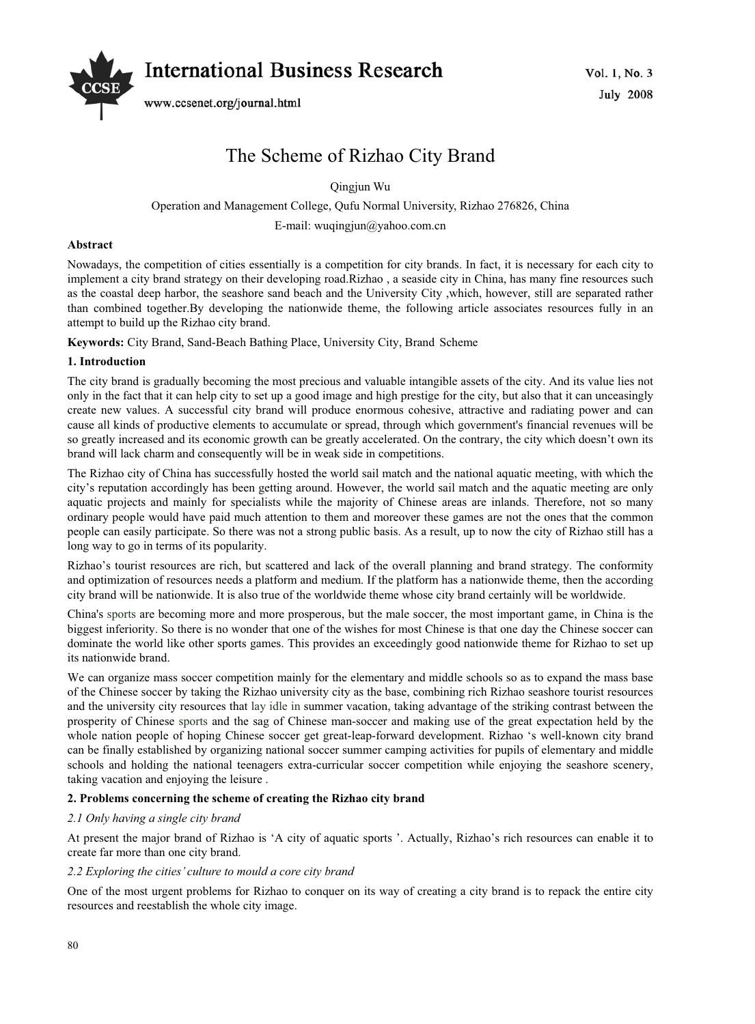

# The Scheme of Rizhao City Brand

Qingjun Wu

Operation and Management College, Qufu Normal University, Rizhao 276826, China

E-mail: wuqingjun@yahoo.com.cn

## **Abstract**

Nowadays, the competition of cities essentially is a competition for city brands. In fact, it is necessary for each city to implement a city brand strategy on their developing road.Rizhao , a seaside city in China, has many fine resources such as the coastal deep harbor, the seashore sand beach and the University City ,which, however, still are separated rather than combined together.By developing the nationwide theme, the following article associates resources fully in an attempt to build up the Rizhao city brand.

**Keywords:** City Brand, Sand-Beach Bathing Place, University City, Brand Scheme

# **1. Introduction**

The city brand is gradually becoming the most precious and valuable intangible assets of the city. And its value lies not only in the fact that it can help city to set up a good image and high prestige for the city, but also that it can unceasingly create new values. A successful city brand will produce enormous cohesive, attractive and radiating power and can cause all kinds of productive elements to accumulate or spread, through which government's financial revenues will be so greatly increased and its economic growth can be greatly accelerated. On the contrary, the city which doesn't own its brand will lack charm and consequently will be in weak side in competitions.

The Rizhao city of China has successfully hosted the world sail match and the national aquatic meeting, with which the city's reputation accordingly has been getting around. However, the world sail match and the aquatic meeting are only aquatic projects and mainly for specialists while the majority of Chinese areas are inlands. Therefore, not so many ordinary people would have paid much attention to them and moreover these games are not the ones that the common people can easily participate. So there was not a strong public basis. As a result, up to now the city of Rizhao still has a long way to go in terms of its popularity.

Rizhao's tourist resources are rich, but scattered and lack of the overall planning and brand strategy. The conformity and optimization of resources needs a platform and medium. If the platform has a nationwide theme, then the according city brand will be nationwide. It is also true of the worldwide theme whose city brand certainly will be worldwide.

China's sports are becoming more and more prosperous, but the male soccer, the most important game, in China is the biggest inferiority. So there is no wonder that one of the wishes for most Chinese is that one day the Chinese soccer can dominate the world like other sports games. This provides an exceedingly good nationwide theme for Rizhao to set up its nationwide brand.

We can organize mass soccer competition mainly for the elementary and middle schools so as to expand the mass base of the Chinese soccer by taking the Rizhao university city as the base, combining rich Rizhao seashore tourist resources and the university city resources that lay idle in summer vacation, taking advantage of the striking contrast between the prosperity of Chinese sports and the sag of Chinese man-soccer and making use of the great expectation held by the whole nation people of hoping Chinese soccer get great-leap-forward development. Rizhao 's well-known city brand can be finally established by organizing national soccer summer camping activities for pupils of elementary and middle schools and holding the national teenagers extra-curricular soccer competition while enjoying the seashore scenery, taking vacation and enjoying the leisure .

# **2. Problems concerning the scheme of creating the Rizhao city brand**

#### *2.1 Only having a single city brand*

At present the major brand of Rizhao is 'A city of aquatic sports '. Actually, Rizhao's rich resources can enable it to create far more than one city brand.

#### *2.2 Exploring the cities' culture to mould a core city brand*

One of the most urgent problems for Rizhao to conquer on its way of creating a city brand is to repack the entire city resources and reestablish the whole city image.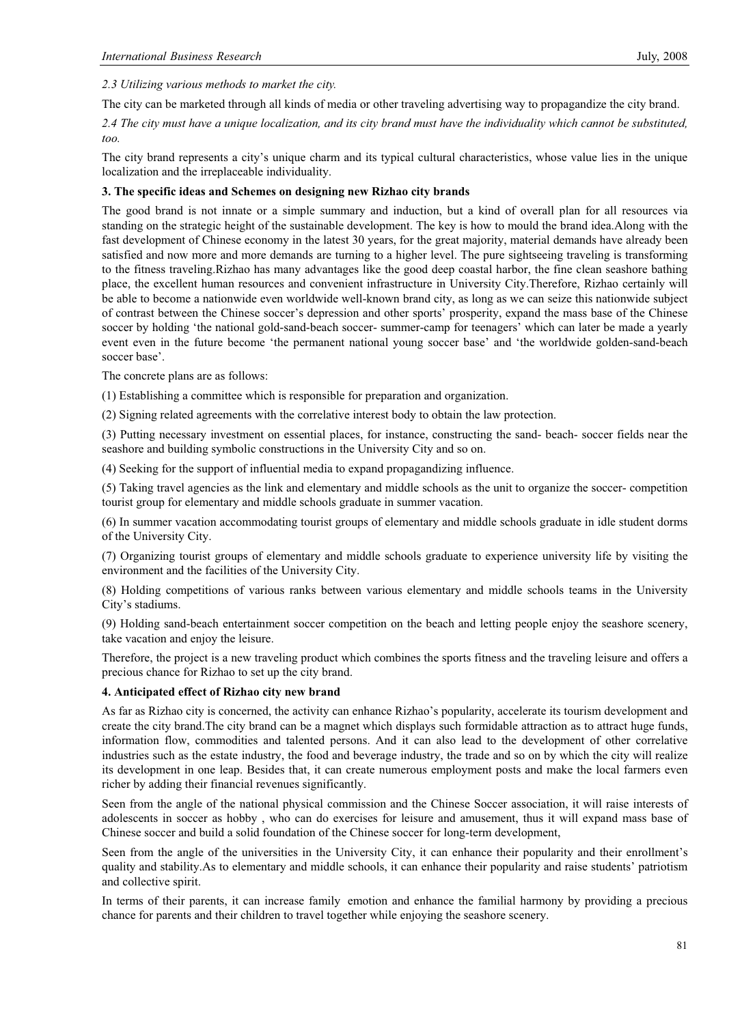*2.3 Utilizing various methods to market the city.*

The city can be marketed through all kinds of media or other traveling advertising way to propagandize the city brand.

*2.4 The city must have a unique localization, and its city brand must have the individuality which cannot be substituted, too.*

The city brand represents a city's unique charm and its typical cultural characteristics, whose value lies in the unique localization and the irreplaceable individuality.

## **3. The specific ideas and Schemes on designing new Rizhao city brands**

The good brand is not innate or a simple summary and induction, but a kind of overall plan for all resources via standing on the strategic height of the sustainable development. The key is how to mould the brand idea.Along with the fast development of Chinese economy in the latest 30 years, for the great majority, material demands have already been satisfied and now more and more demands are turning to a higher level. The pure sightseeing traveling is transforming to the fitness traveling.Rizhao has many advantages like the good deep coastal harbor, the fine clean seashore bathing place, the excellent human resources and convenient infrastructure in University City.Therefore, Rizhao certainly will be able to become a nationwide even worldwide well-known brand city, as long as we can seize this nationwide subject of contrast between the Chinese soccer's depression and other sports' prosperity, expand the mass base of the Chinese soccer by holding 'the national gold-sand-beach soccer- summer-camp for teenagers' which can later be made a yearly event even in the future become 'the permanent national young soccer base' and 'the worldwide golden-sand-beach soccer base'.

The concrete plans are as follows:

(1) Establishing a committee which is responsible for preparation and organization.

(2) Signing related agreements with the correlative interest body to obtain the law protection.

(3) Putting necessary investment on essential places, for instance, constructing the sand- beach- soccer fields near the seashore and building symbolic constructions in the University City and so on.

(4) Seeking for the support of influential media to expand propagandizing influence.

(5) Taking travel agencies as the link and elementary and middle schools as the unit to organize the soccer- competition tourist group for elementary and middle schools graduate in summer vacation.

(6) In summer vacation accommodating tourist groups of elementary and middle schools graduate in idle student dorms of the University City.

(7) Organizing tourist groups of elementary and middle schools graduate to experience university life by visiting the environment and the facilities of the University City.

(8) Holding competitions of various ranks between various elementary and middle schools teams in the University City's stadiums.

(9) Holding sand-beach entertainment soccer competition on the beach and letting people enjoy the seashore scenery, take vacation and enjoy the leisure.

Therefore, the project is a new traveling product which combines the sports fitness and the traveling leisure and offers a precious chance for Rizhao to set up the city brand.

#### **4. Anticipated effect of Rizhao city new brand**

As far as Rizhao city is concerned, the activity can enhance Rizhao's popularity, accelerate its tourism development and create the city brand.The city brand can be a magnet which displays such formidable attraction as to attract huge funds, information flow, commodities and talented persons. And it can also lead to the development of other correlative industries such as the estate industry, the food and beverage industry, the trade and so on by which the city will realize its development in one leap. Besides that, it can create numerous employment posts and make the local farmers even richer by adding their financial revenues significantly.

Seen from the angle of the national physical commission and the Chinese Soccer association, it will raise interests of adolescents in soccer as hobby , who can do exercises for leisure and amusement, thus it will expand mass base of Chinese soccer and build a solid foundation of the Chinese soccer for long-term development,

Seen from the angle of the universities in the University City, it can enhance their popularity and their enrollment's quality and stability.As to elementary and middle schools, it can enhance their popularity and raise students' patriotism and collective spirit.

In terms of their parents, it can increase family emotion and enhance the familial harmony by providing a precious chance for parents and their children to travel together while enjoying the seashore scenery.